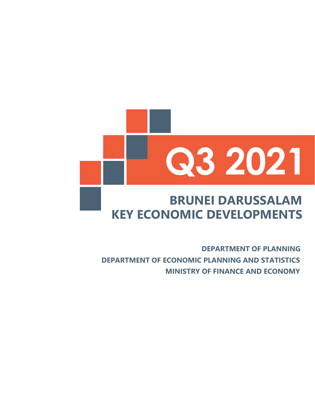### **KEY ECONOMIC DEVELOPMENTS BRUNEI DARUSSALAM**

**DEPARTMENT OF ECONOMIC PLANNING AND STATISTICS MINISTRY OF FINANCE AND ECONOMY DEPARTMENT OF PLANNING**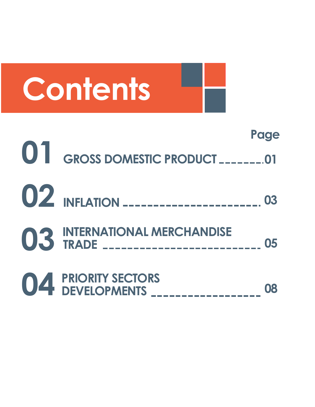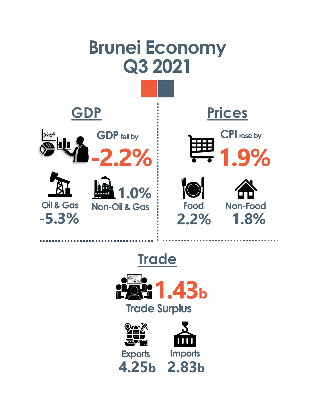

## **Trade**



**4.25b 2.83b**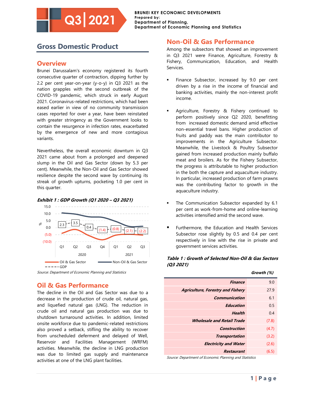#### **Gross Domestic Product**

**Q3 2021**

#### **Overview**

Brunei Darussalam's economy registered its fourth consecutive quarter of contraction, dipping further by 2.2 per cent year-on-year (y-o-y) in Q3 2021 as the nation grapples with the second outbreak of the COVID-19 pandemic, which struck in early August 2021. Coronavirus-related restrictions, which had been eased earlier in view of no community transmission cases reported for over a year, have been reinstated with greater stringency as the Government looks to contain the resurgence in infection rates, exacerbated by the emergence of new and more contagious variants.

Nevertheless, the overall economic downturn in Q3 2021 came about from a prolonged and deepened slump in the Oil and Gas Sector (down by 5.3 per cent). Meanwhile, the Non-Oil and Gas Sector showed resilience despite the second wave by continuing its streak of growth upturns, pocketing 1.0 per cent in this quarter.



#### **Exhibit 1 : GDP Growth (Q1 2020 – Q3 2021)**

Source: Department of Economic Planning and Statistics

#### **Oil & Gas Performance**

The decline in the Oil and Gas Sector was due to a decrease in the production of crude oil, natural gas, and liquefied natural gas (LNG). The reduction in crude oil and natural gas production was due to shutdown turnaround activities. In addition, limited onsite workforce due to pandemic-related restrictions also proved a setback, stifling the ability to recover from unscheduled deferment and delayed of Well, Reservoir and Facilities Management (WRFM) activities. Meanwhile, the decline in LNG production was due to limited gas supply and maintenance activities at one of the LNG plant facilities.

#### **Non-Oil & Gas Performance**

Among the subsectors that showed an improvement in Q3 2021 were Finance, Agriculture, Forestry & Fishery, Communication, Education, and Health Services.

- Finance Subsector, increased by 9.0 per cent driven by a rise in the income of financial and banking activities, mainly the non-interest profit income.
- Agriculture, Forestry & Fishery continued to perform positively since Q2 2020, benefitting from increased domestic demand amid effective non-essential travel bans. Higher production of fruits and paddy was the main contributor to improvements in the Agriculture Subsector. Meanwhile, the Livestock & Poultry Subsector gained from increased production mainly buffalo meat and broilers. As for the Fishery Subsector, the progress is attributable to higher production in the both the capture and aquaculture industry. In particular, increased production of farm prawns was the contributing factor to growth in the aquaculture industry.
- The Communication Subsector expanded by 6.1 per cent as work-from-home and online-learning activities intensified amid the second wave.
- Furthermore, the Education and Health Services Subsector rose slightly by 0.5 and 0.4 per cent respectively in line with the rise in private and government services activities.

#### **Table 1 : Growth of Selected Non-Oil & Gas Sectors (Q3 2021)**

|                                          | Growth (%) |
|------------------------------------------|------------|
| <b>Finance</b>                           | 9.0        |
| <b>Agriculture, Forestry and Fishery</b> | 27.9       |
| Communication                            | 6.1        |
| Education                                | 0.5        |
| Health                                   | 0.4        |
| <i><b>Wholesale and Retail Trade</b></i> | (7.8)      |
| <b>Construction</b>                      | (4.7)      |
| <b>Transportation</b>                    | (3.2)      |
| <b>Electricity and Water</b>             | (2.6)      |
| Restaurant                               | (6.5)      |

Source: Department of Economic Planning and Statistics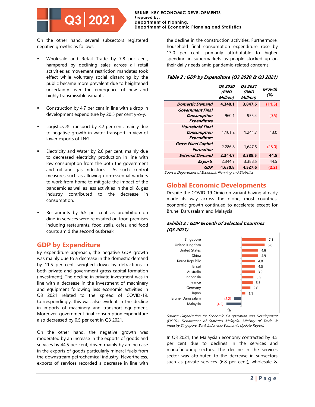#### **BRUNEI KEY ECONOMIC DEVELOPMENTS Prepared by: Department of Planning, Department of Economic Planning and Statistics**

On the other hand, several subsectors registered negative growths as follows:

- Wholesale and Retail Trade by 7.8 per cent, hampered by declining sales across all retail activities as movement restriction mandates took effect while voluntary social distancing by the public became more prevalent due to heightened uncertainty over the emergence of new and highly transmissible variants.
- Construction by 4.7 per cent in line with a drop in development expenditure by 20.5 per cent y-o-y.
- Logistics & Transport by 3.2 per cent, mainly due to negative growth in water transport in view of lower exports of LNG.
- Electricity and Water by 2.6 per cent, mainly due to decreased electricity production in line with low consumption from the both the government and oil and gas industries. As such, control measures such as allowing non-essential workers to work from home to mitigate the impact of the pandemic as well as less activities in the oil & gas industry contributed to the decrease in consumption.
- Restaurants by 6.5 per cent as prohibition on dine-in services were reinstated on food premises including restaurants, food stalls, cafes, and food courts amid the second outbreak.

#### **GDP by Expenditure**

By expenditure approach, the negative GDP growth was mainly due to a decrease in the domestic demand by 11.5 per cent, weighed down by detractions in both private and government gross capital formation (investment). The decline in private investment was in line with a decrease in the investment of machinery and equipment following less economic activities in Q3 2021 related to the spread of COVID-19. Correspondingly, this was also evident in the decline in imports of machinery and transport equipment. Moreover, government final consumption expenditure also decreased by 0.5 per cent in Q3 2021.

On the other hand, the negative growth was moderated by an increase in the exports of goods and services by 44.5 per cent, driven mainly by an increase in the exports of goods particularly mineral fuels from the downstream petrochemical industry. Nevertheless, exports of services recorded a decrease in line with the decline in the construction activities. Furthermore, household final consumption expenditure rose by 13.0 per cent, primarily attributable to higher spending in supermarkets as people stocked up on their daily needs amid pandemic-related concerns.

#### **Table 2 : GDP by Expenditure (Q3 2020 & Q3 2021)**

|                                                                    | <i><b>03 2020</b></i><br>(BND<br>Million) | <i><b>03 2021</b></i><br>(BND<br>Million) | Growth<br>(%) |
|--------------------------------------------------------------------|-------------------------------------------|-------------------------------------------|---------------|
| <b>Domestic Demand</b>                                             | 4,348.1                                   | 3.847.6                                   | (11.5)        |
| Government Final<br><b>Consumption</b><br><b>Expenditure</b>       | 960.1                                     | 955.4                                     | (0.5)         |
| <b>Household Final</b><br><b>Consumption</b><br><b>Expenditure</b> | 1,101.2                                   | 1,244.7                                   | 13.0          |
| <b>Gross Fixed Capital</b><br>Formation                            | 2,286.8                                   | 1.647.5                                   | (28.0)        |
| <b>External Demand</b>                                             | 2,344.7                                   | 3,388.5                                   | 44.5          |
| <b>Exports</b>                                                     | 2,344.7                                   | 3,388.5                                   | 44.5          |
| GDP                                                                | 4,630.8                                   | 4.527.6                                   | (2.2)         |

Source: Department of Economic Planning and Statistics

#### **Global Economic Developments**

Despite the COVID-19 Omicron variant having already made its way across the globe, most countries' economic growth continued to accelerate except for Brunei Darussalam and Malaysia.

#### **Exhibit 2 : GDP Growth of Selected Countries (Q3 2021)**



Source: Organisation for Economic Co-operation and Development (OECD), Department of Statistics Malaysia, Ministry of Trade & Industry Singapore, Bank Indonesia Economic Update Report.

In Q3 2021, the Malaysian economy contracted by 4.5 per cent due to declines in the services and manufacturing sectors. The decline in the services sector was attributed to the decrease in subsectors such as private services (6.8 per cent), wholesale &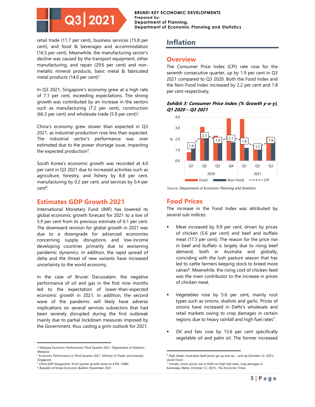**BRUNEI KEY ECONOMIC DEVELOPMENTS Prepared by: Department of Planning, Department of Economic Planning and Statistics**

retail trade (11.7 per cent), business services (15.8 per cent), and food & beverages and accommodation (16.5 per cent). Meanwhile, the manufacturing sector's decline was caused by the transport equipment, other manufacturing, and repair (29.6 per cent) and nonmetallic mineral products, basic metal & fabricated metal products (14.0 per cent)<sup>1</sup>.

In Q3 2021, Singapore's economy grew at a high rate of 7.1 per cent, exceeding expectations. The strong growth was contributed by an increase in the sectors such as manufacturing (7.2 per cent), construction (66.3 per cent) and wholesale trade (5.9 per cent)<sup>2</sup>.

China's economy grew slower than expected in Q3 2021, as industrial production rose less than expected. The industrial sector's performance was over estimated due to the power shortage issue, impacting the expected production<sup>3</sup>.

South Korea's economic growth was recorded at 4.0 per cent in Q3 2021 due to increased activities such as agriculture, forestry, and fishery by 8.8 per cent, manufacturing by 0.2 per cent, and services by 0.4 per cent<sup>4</sup> .

#### **Estimates GDP Growth 2021**

International Monetary Fund (IMF) has lowered its global economic growth forecast for 2021 to a low of 5.9 per cent from its previous estimate of 6.1 per cent. The downward revision for global growth in 2021 was due to a downgrade for advanced economies concerning supply disruptions and low-income developing countries primarily due to worsening pandemic dynamics. In addition, the rapid spread of delta and the threat of new variants have increased uncertainty to the world economy.

In the case of Brunei Darussalam, the negative performance of oil and gas in the first nine months led to the expectation of lower-than-expected economic growth in 2021. In addition, the second wave of the pandemic will likely have adverse implications on several services subsectors that had been severely disrupted during the first outbreak mainly due to partial lockdown measures imposed by the Government, thus casting a grim outlook for 2021.

#### **Inflation**

#### **Overview**

The Consumer Price Index (CPI) rate rose for the seventh consecutive quarter, up by 1.9 per cent in Q3 2021 compared to Q3 2020. Both the Food Index and the Non-Food Index increased by 2.2 per cent and 1.8 per cent respectively.

#### **Exhibit 3: Consumer Price Index (% Growth y-o-y), Q1 2020 – Q3 2021**



Source: Department of Economic Planning and Statistics

#### **Food Prices**

The increase in the Food Index was attributed by several sub-indices:

- Meat increased by 9.9 per cent, driven by prices of chicken (5.6 per cent) and beef and buffalo meat (17.5 per cent). The reason for the price rise in beef and buffalo is largely due to rising beef demand, both in Australia and globally, coinciding with the lush pasture season that has led to cattle farmers keeping stock to breed more calves<sup>6</sup>. Meanwhile, the rising cost of chicken feed was the main contributor to the increase in prices of chicken meat.
- Vegetables rose by 5.6 per cent, mainly root types such as onions, shallots and garlic. Prices of onions have increased in Delhi's wholesale and retail markets owing to crop damages in certain regions due to heavy rainfall and high fuel rates<sup>7</sup>.
- Oil and fats rose by 13.6 per cent specifically vegetable oil and palm oil. The former increased

<sup>1</sup> Malaysia Economic Performance Third Quarter 2021, *Department of Statistics* Malaysia.

<sup>&</sup>lt;sup>2</sup> Economic Performance in Third Quarter 2021, Ministry of Trade, and Industry **Singapore** 

<sup>&</sup>lt;sup>3</sup> China GDP disappoints, third-quarter growth slows to 4.9%, CNBC.

<sup>4</sup> Republic of Korea Economic Bulletin, November 2021.

<sup>&</sup>lt;sup>6</sup> High steaks: Australian beef prices go up and up ... and up (October 22, 2021). Good Food.

 $7$  Tomato, onion prices rise in Delhi on high fuel rates, crop damages in Karnataka, Maha. (October 12, 2021). The Economic Times.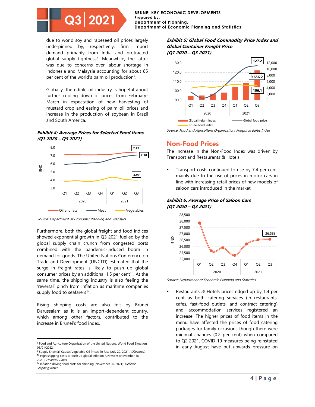**BRUNEI KEY ECONOMIC DEVELOPMENTS Prepared by: Department of Planning, Department of Economic Planning and Statistics**

due to world soy and rapeseed oil prices largely underpinned by, respectively, firm import demand primarily from India and protracted global supply tightness<sup>8</sup>. Meanwhile, the latter was due to concerns over labour shortage in Indonesia and Malaysia accounting for about 85 per cent of the world's palm oil production<sup>9</sup>.

Globally, the edible oil industry is hopeful about further cooling down of prices from February-March in expectation of new harvesting of mustard crop and easing of palm oil prices and increase in the production of soybean in Brazil and South America.

**Exhibit 4: Average Prices for Selected Food Items (Q1 2020 – Q3 2021)**



Source: Department of Economic Planning and Statistics

Furthermore, both the global freight and food indices showed exponential growth in Q3 2021 fuelled by the global supply chain crunch from congested ports combined with the pandemic-induced boom in demand for goods. The United Nations Conference on Trade and Development (UNCTD) estimated that the surge in freight rates is likely to push up global consumer prices by an additional 1.5 per cent<sup>13</sup>. At the same time, the shipping industry is also feeling the 'reversal' pinch from inflation as maritime companies supply food to seafarers<sup>14</sup>.

Rising shipping costs are also felt by Brunei Darussalam as it is an import-dependent country, which among other factors, contributed to the increase in Brunei's food index.

#### **Exhibit 5: Global Food Commodity Price Index and Global Container Freight Price (Q1 2020 – Q3 2021)**



Source: Food and Agriculture Organization; Freightos Baltic Index

#### **Non-Food Prices**

The increase in the Non-Food Index was driven by Transport and Restaurants & Hotels:

Transport costs continued to rise by 7.4 per cent, mainly due to the rise of prices in motor cars in line with increasing retail prices of new models of saloon cars introduced in the market.

**Exhibit 6: Average Price of Saloon Cars (Q1 2020 – Q3 2021)**



Source: Department of Economic Planning and Statistics

Restaurants & Hotels prices edged up by 1.4 per cent as both catering services (in restaurants, cafes, fast-food outlets, and contract catering) and accommodation services registered an increase. The higher prices of food items in the menu have affected the prices of food catering packages for family occasions though there were minimal changes (0.2 per cent) when compared to Q2 2021. COVID-19 measures being reinstated in early August have put upwards pressure on

<sup>8</sup> Food and Agriculture Organization of the United Nations, World Food Situation, 06/01/2022.

<sup>&</sup>lt;sup>9</sup> Supply Shortfall Causes Vegetable Oil Prices To Rise (July 20, 2021). *Olivamed.* <sup>13</sup> High shipping costs to push up global inflation, UN warns (November 18, 2021). Financial Times.

<sup>&</sup>lt;sup>14</sup> Inflation driving food costs for shipping (November 26, 2021). *Hellenic* Shipping News.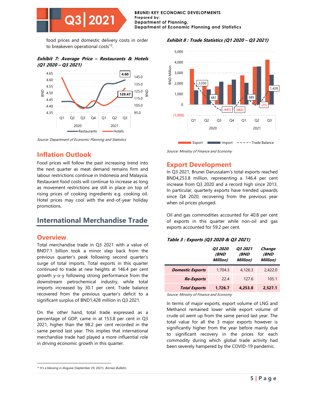

food prices and domestic delivery costs in order to breakeven operational costs<sup>15</sup>.

**Exhibit 7: Average Price – Restaurants & Hotels (Q1 2020 – Q3 2021)**



Source: Department of Economic Planning and Statistics

#### **Inflation Outlook**

Food prices will follow the past increasing trend into the next quarter as meat demand remains firm and labour restrictions continue in Indonesia and Malaysia. Restaurant food costs will continue to increase as long as movement restrictions are still in place on top of rising prices of cooking ingredients e.g. cooking oil. Hotel prices may cool with the end-of-year holiday promotions.

#### **International Merchandise Trade**

#### **Overview**

Total merchandise trade in Q3 2021 with a value of BND7.1 billion took a minor step back from the previous quarter's peak following second quarter's surge of total imports. Total exports in this quarter continued to trade at new heights at 146.4 per cent growth y-o-y following strong performance from the downstream petrochemical industry, while total imports increased by 30.1 per cent. Trade balance recovered from the previous quarter's deficit to a significant surplus of BND1,428 million in Q3 2021.

On the other hand, total trade expressed as a percentage of GDP, came in at 153.8 per cent in Q3 2021, higher than the 98.2 per cent recorded in the same period last year. This implies that international merchandise trade had played a more influential role in driving economic growth in this quarter.





Source: Ministry of Finance and Economy

#### **Export Development**

In Q3 2021, Brunei Darussalam's total exports reached BND4,253.8 million, representing a 146.4 per cent increase from Q3 2020 and a record high since 2013. In particular, quarterly exports have trended upwards since Q4 2020, recovering from the previous year when oil prices plunged.

Oil and gas commodities accounted for 40.8 per cent of exports in this quarter while non-oil and gas exports accounted for 59.2 per cent.

#### **Table 3 : Exports (Q3 2020 & Q3 2021)**

|                         | <i><b>03 2020</b></i><br><i><b>(BND</b></i><br>Million) | <i><b>Q3 2021</b></i><br><i><b>(BND</b></i><br><b>Million</b> ) | Change<br>(BND<br>Million) |
|-------------------------|---------------------------------------------------------|-----------------------------------------------------------------|----------------------------|
| <b>Domestic Exports</b> | 1,704.3                                                 | 4.126.3                                                         | 2,422.0                    |
| <b>Re-Exports</b>       | 22.4                                                    | 1276                                                            | 105.1                      |
| <b>Total Exports</b>    | 1.726.7                                                 | 4,253.8                                                         | 2.527.1                    |

Source: Ministry of Finance and Economy

In terms of major exports, export volume of LNG and Methanol remained lower while export volume of crude oil went up from the same period last year. The total value for all the 3 major exports however is significantly higher from the year before mainly due to significant recovery in the prices for each commodity during which global trade activity had been severely hampered by the COVID-19 pandemic.

<sup>&</sup>lt;sup>15</sup> It's a blessing in disguise (September 29, 2021). Borneo Bulletin.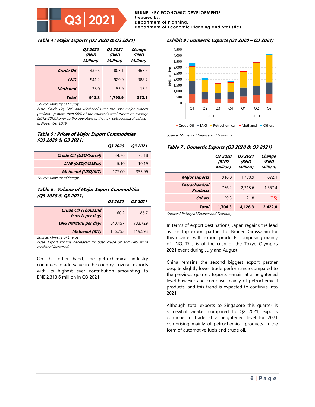#### **Prepared by: Department of Planning, Department of Economic Planning and Statistics**

**BRUNEI KEY ECONOMIC DEVELOPMENTS**

#### **Table 4 : Major Exports (Q3 2020 & Q3 2021)**

|                 | <i><b>03 2020</b></i><br>(BND<br><b>Million</b> ) | <i><b>03 2021</b></i><br>(BND<br>Million) | Change<br>(BND<br><b>Million</b> ) |
|-----------------|---------------------------------------------------|-------------------------------------------|------------------------------------|
| Crude Oil       | 339.5                                             | 807.1                                     | 467.6                              |
| <b>LNG</b>      | 541.2                                             | 929.9                                     | 388.7                              |
| <b>Methanol</b> | 38.0                                              | 53.9                                      | 15.9                               |
| Total           | 918.8                                             | 1,790.9                                   | 872.1                              |

Source: Ministry of Energy

Note: Crude Oil, LNG and Methanol were the only major exports (making up more than 90% of the country's total export on average (2012-2019)) prior to the operation of the new petrochemical industry in November 2019.

#### **Table 5 : Prices of Major Export Commodities (Q3 2020 & Q3 2021)**

|                            | <i><b>03 2020</b></i> | O3 2021 |
|----------------------------|-----------------------|---------|
| Crude Oil (USD/barrel)     | 44.76                 | 75.18   |
| <b>LNG (USD/MMBtu)</b>     | 5.10                  | 10.19   |
| <b>Methanol (USD/MT)</b>   | 177.00                | 333.99  |
| Course Ministra of Frontes |                       |         |

Source: Ministry of Energy

#### **Table 6 : Volume of Major Export Commodities (Q3 2020 & Q3 2021)**

|                                                | <i><b>03 2020</b></i> | <i><b>03 2021</b></i> |
|------------------------------------------------|-----------------------|-----------------------|
| <b>Crude Oil (Thousand</b><br>barrels per day) | 60.2                  | 86.7                  |
| LNG (MMBtu per day)                            | 840,457               | 733,729               |
| <b>Methanol</b> (MT)                           | 156,753               | 119,598               |

Source: Ministry of Energy

Note: Export volume decreased for both crude oil and LNG while methanol increased.

On the other hand, the petrochemical industry continues to add value in the country's overall exports with its highest ever contribution amounting to BND2,313.6 million in Q3 2021.

#### **Exhibit 9 : Domestic Exports (Q1 2020 – Q3 2021)**



Source: Ministry of Finance and Economy

#### **Table 7 : Domestic Exports (Q3 2020 & Q3 2021)**

|                                  | <i><b>03 2020</b></i><br><i>(BND</i><br>Million) | <i><b>03 2021</b></i><br><i><b>(BND</b></i><br>Million) | Change<br><i><b>(BND</b></i><br>Million) |
|----------------------------------|--------------------------------------------------|---------------------------------------------------------|------------------------------------------|
| <b>Major Exports</b>             | 918.8                                            | 1,790.9                                                 | 872.1                                    |
| Petrochemical<br><b>Products</b> | 756.2                                            | 2,313.6                                                 | 1,557.4                                  |
| <b>Others</b>                    | 29.3                                             | 218                                                     | (7.5)                                    |
| Total                            | 1.704.3                                          | 4.126.3                                                 | 2.422.0                                  |

Source: Ministry of Finance and Economy

In terms of export destinations, Japan regains the lead as the top export partner for Brunei Darussalam for this quarter with export products comprising mainly of LNG. This is of the cusp of the Tokyo Olympics 2021 event during July and August.

China remains the second biggest export partner despite slightly lower trade performance compared to the previous quarter. Exports remain at a heightened level however and comprise mainly of petrochemical products; and this trend is expected to continue into 2021.

Although total exports to Singapore this quarter is somewhat weaker compared to Q2 2021, exports continue to trade at a heightened level for 2021 comprising mainly of petrochemical products in the form of automotive fuels and crude oil.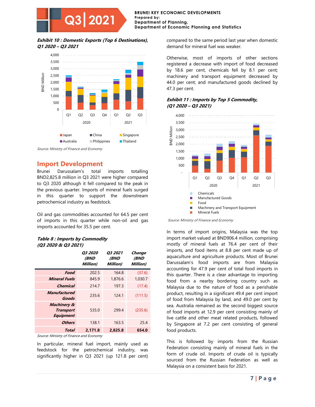#### **Exhibit 10 : Domestic Exports (Top 6 Destinations), Q1 2020 – Q3 2021**

**Q3 2021**



Source: Ministry of Finance and Economy

#### **Import Development**

Brunei Darussalam's total imports totalling BND2,825.8 million in Q3 2021 were higher compared to Q3 2020 although it fell compared to the peak in the previous quarter. Imports of mineral fuels surged in this quarter to support the downstream petrochemical industry as feedstock.

Oil and gas commodities accounted for 64.5 per cent of imports in this quarter while non-oil and gas imports accounted for 35.5 per cent.

#### **Table 8 : Imports by Commodity (Q3 2020 & Q3 2021)**

|                                                                | <i><b>03 2020</b></i><br><i><b>(BND</b></i><br>Million) | <i><b>Q3 2021</b></i><br><i><b>(BND</b></i><br>Million) | Change<br><b>(BND</b><br>Million) |
|----------------------------------------------------------------|---------------------------------------------------------|---------------------------------------------------------|-----------------------------------|
| Food                                                           | 202.5                                                   | 164.8                                                   | (37.6)                            |
| <b>Mineral Fuels</b>                                           | 845.9                                                   | 1,876.6                                                 | 1,030.7                           |
| Chemical                                                       | 214.7                                                   | 197.3                                                   | (17.4)                            |
| <b>Manufactured</b><br>Goods                                   | 235.6                                                   | 124.1                                                   | (111.5)                           |
| <b>Machinery &amp;</b><br><b>Transport</b><br><b>Equipment</b> | 535.0                                                   | 299.4                                                   | (235.6)                           |
| <b>Others</b>                                                  | 138.1                                                   | 163.5                                                   | 25.4                              |
| Total                                                          | 2,171.8                                                 | 2.825.8                                                 | 654.0                             |

Source: Ministry of Finance and Economy

In particular, mineral fuel import, mainly used as feedstock for the petrochemical industry, was significantly higher in Q3 2021 (up 121.8 per cent) compared to the same period last year when domestic demand for mineral fuel was weaker.

Otherwise, most of imports of other sections registered a decrease with import of food decreased by 18.6 per cent, chemicals fell by 8.1 per cent; machinery and transport equipment decreased by 44.0 per cent; and manufactured goods declined by 47.3 per cent.

#### **Exhibit 11 : Imports by Top 5 Commodity, (Q1 2020 – Q3 2021)**



Source: Ministry of Finance and Economy

In terms of import origins, Malaysia was the top import market valued at BND906.4 million, comprising mostly of mineral fuels at 76.4 per cent of their imports, and food items at 8.8 per cent made up of aquaculture and agriculture products. Most of Brunei Darussalam's food imports are from Malaysia accounting for 47.9 per cent of total food imports in this quarter. There is a clear advantage to importing food from a nearby bordering country such as Malaysia due to the nature of food as a perishable product, resulting in a significant 49.4 per cent import of food from Malaysia by land, and 49.0 per cent by sea. Australia remained as the second biggest source of food imports at 12.9 per cent consisting mainly of live cattle and other meat related products, followed by Singapore at 7.2 per cent consisting of general food products.

This is followed by imports from the Russian Federation consisting mainly of mineral fuels in the form of crude oil. Imports of crude oil is typically sourced from the Russian Federation as well as Malaysia on a consistent basis for 2021.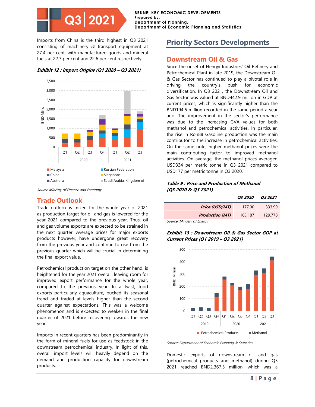**BRUNEI KEY ECONOMIC DEVELOPMENTS Prepared by: Department of Planning, Department of Economic Planning and Statistics**

Imports from China is the third highest in Q3 2021 consisting of machinery & transport equipment at 27.4 per cent, with manufactured goods and mineral fuels at 22.7 per cent and 22.6 per cent respectively.

**Exhibit 12 : Import Origins (Q1 2020 – Q3 2021)**



Source Ministry of Finance and Economy

#### **Trade Outlook**

Trade outlook is mixed for the whole year of 2021 as production target for oil and gas is lowered for the year 2021 compared to the previous year. Thus, oil and gas volume exports are expected to be strained in the next quarter. Average prices for major exports products however, have undergone great recovery from the previous year and continue to rise from the previous quarter which will be crucial in determining the final export value.

Petrochemical production target on the other hand, is heightened for the year 2021 overall, leaving room for improved export performance for the whole year, compared to the previous year. In a twist, food exports particularly aquaculture, bucked its seasonal trend and traded at levels higher than the second quarter against expectations. This was a welcome phenomenon and is expected to weaken in the final quarter of 2021 before recovering towards the new year.

Imports in recent quarters has been predominantly in the form of mineral fuels for use as feedstock in the downstream petrochemical industry. In light of this, overall import levels will heavily depend on the demand and production capacity for downstream products.

#### **Priority Sectors Developments**

#### **Downstream Oil & Gas**

Since the onset of Hengyi Industries' Oil Refinery and Petrochemical Plant in late 2019, the Downstream Oil & Gas Sector has continued to play a pivotal role in driving the country's push for economic diversification. In Q3 2021, the Downstream Oil and Gas Sector was valued at BND442.9 million in GDP at current prices, which is significantly higher than the BND194.6 million recorded in the same period a year ago. The improvement in the sector's performance was due to the increasing GVA values for both methanol and petrochemical activities. In particular, the rise in Ron88 Gasoline production was the main contributor to the increase in petrochemical activities. On the same note, higher methanol prices were the main contributing factor to improved methanol activities. On average, the methanol prices averaged USD334 per metric tonne in Q3 2021 compared to USD177 per metric tonne in Q3 2020.

#### **Table 9 : Price and Production of Methanol (Q3 2020 & Q3 2021)**

|                        | <i><b>03 2020</b></i> | <i><b>03 2021</b></i> |
|------------------------|-----------------------|-----------------------|
| Price (USD/MT)         | 177.00                | 333.99                |
| <b>Production (MT)</b> | 163,187               | 129,778               |

Source: Ministry of Energy

**Exhibit 13 : Downstream Oil & Gas Sector GDP at Current Prices (Q1 2019 – Q3 2021)**



Source: Department of Economic Planning & Statistics

Domestic exports of downstream oil and gas (petrochemical products and methanol) during Q3 2021 reached BND2,367.5 million, which was a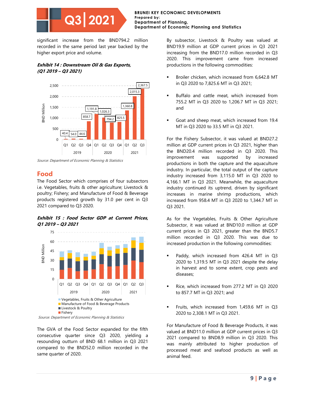

significant increase from the BND794.2 million recorded in the same period last year backed by the higher export price and volume.

#### **Exhibit 14 : Downstream Oil & Gas Exports, (Q1 2019 – Q3 2021)**



Source: Department of Economic Planning & Statistics

#### **Food**

The Food Sector which comprises of four subsectors i.e. Vegetables, fruits & other agriculture; Livestock & poultry; Fishery; and Manufacture of Food & Beverage products registered growth by 31.0 per cent in Q3 2021 compared to Q3 2020.

#### **Exhibit 15 : Food Sector GDP at Current Prices, Q1 2019 – Q3 2021**



Source: Department of Economic Planning & Statistics

The GVA of the Food Sector expanded for the fifth consecutive quarter since Q3 2020, yielding a resounding outturn of BND 68.1 million in Q3 2021 compared to the BND52.0 million recorded in the same quarter of 2020.

By subsector, Livestock & Poultry was valued at BND19.9 million at GDP current prices in Q3 2021 increasing from the BND17.0 million recorded in Q3 2020. This improvement came from increased productions in the following commodities:

- Broiler chicken, which increased from 6,642.8 MT in Q3 2020 to 7,825.6 MT in Q3 2021;
- Buffalo and cattle meat, which increased from 755.2 MT in Q3 2020 to 1,206.7 MT in Q3 2021; and
- Goat and sheep meat, which increased from 19.4 MT in Q3 2020 to 33.5 MT in Q3 2021.

For the Fishery Subsector, it was valued at BND27.2 million at GDP current prices in Q3 2021, higher than the BND20.4 million recorded in Q3 2020. This improvement was supported by increased productions in both the capture and the aquaculture industry. In particular, the total output of the capture industry increased from 3,115.0 MT in Q3 2020 to 4,166.1 MT in Q3 2021. Meanwhile, the aquaculture industry continued its uptrend, driven by significant increases in marine shrimp productions, which increased from 958.4 MT in Q3 2020 to 1,344.7 MT in Q3 2021.

As for the Vegetables, Fruits & Other Agriculture Subsector, it was valued at BND10.0 million at GDP current prices in Q3 2021, greater than the BND5.7 million recorded in Q3 2020. This was due to increased production in the following commodities:

- Paddy, which increased from 426.4 MT in Q3 2020 to 1,319.5 MT in Q3 2021 despite the delay in harvest and to some extent, crop pests and diseases;
- Rice, which increased from 277.2 MT in Q3 2020 to 857.7 MT in Q3 2021; and
- Fruits, which increased from 1,459.6 MT in Q3 2020 to 2,308.1 MT in Q3 2021.

For Manufacture of Food & Beverage Products, it was valued at BND11.0 million at GDP current prices in Q3 2021 compared to BND8.9 million in Q3 2020. This was mainly attributed to higher production of processed meat and seafood products as well as animal feed.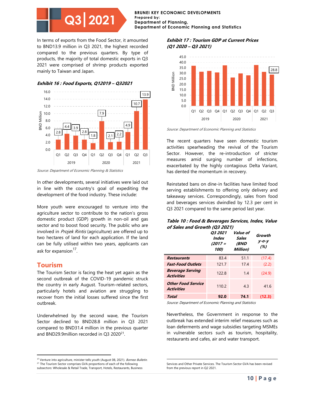#### **BRUNEI KEY ECONOMIC DEVELOPMENTS Prepared by: Department of Planning, Department of Economic Planning and Statistics**

In terms of exports from the Food Sector, it amounted to BND13.9 million in Q3 2021, the highest recorded compared to the previous quarters. By type of products, the majority of total domestic exports in Q3 2021 were comprised of shrimp products exported mainly to Taiwan and Japan.

#### **Exhibit 16 : Food Exports, Q12019 – Q32021**



Source: Department of Economic Planning & Statistics

In other developments, several initiatives were laid out in line with the country's goal of expediting the development of the food industry. These include:

More youth were encouraged to venture into the agriculture sector to contribute to the nation's gross domestic product (GDP) growth in non-oil and gas sector and to boost food security. The public who are involved in Projek Rintis (agriculture) are offered up to two hectares of land for each application. If the land can be fully utilised within two years, applicants can ask for expansion<sup>17</sup>.

#### **Tourism**

The Tourism Sector is facing the heat yet again as the second outbreak of the COVID-19 pandemic struck the country in early August. Tourism-related sectors, particularly hotels and aviation are struggling to recover from the initial losses suffered since the first outbreak.

Underwhelmed by the second wave, the Tourism Sector declined to BND28.8 million in Q3 2021 compared to BND31.4 million in the previous quarter and BND29.9million recorded in Q3 2020<sup>21</sup>.

#### **Exhibit 17 : Tourism GDP at Current Prices (Q1 2020 – Q3 2021)**



Source: Department of Economic Planning and Statistics

The recent quarters have seen domestic tourism activities spearheading the revival of the Tourism Sector. However, the re-introduction of stricter measures amid surging number of infections, exacerbated by the highly contagious Delta Variant, has dented the momentum in recovery.

Reinstated bans on dine-in facilities have limited food serving establishments to offering only delivery and takeaway services. Correspondingly, sales from food and beverages services dwindled by 12.3 per cent in Q3 2021 compared to the same period last year.

#### **Table 10 : Food & Beverages Services, Index, Value of Sales and Growth (Q3 2021)**

|                                                | <i><b>03 2021</b></i><br>Index<br>$(2017 =$<br>100) | Value of<br>Sales<br><i><b>(BND</b></i><br>Million) | Growth<br>у-о-у<br>(%) |
|------------------------------------------------|-----------------------------------------------------|-----------------------------------------------------|------------------------|
| <b>Restaurants</b>                             | 83.4                                                | 51.1                                                | (17.4)                 |
| <b>Fast-Food Outlets</b>                       | 121.7                                               | 17.4                                                | (2.2)                  |
| <b>Beverage Serving</b><br><b>Activities</b>   | 122.8                                               | 1.4                                                 | (24.9)                 |
| <b>Other Food Service</b><br><b>Activities</b> | 110.2                                               | 43                                                  | 41.6                   |
| Total                                          | 92.0                                                | 74.1                                                | (12.3)                 |

Source: Department of Economic Planning and Statistics

Nevertheless, the Government in response to the outbreak has extended interim relief measures such as loan deferments and wage subsidies targeting MSMEs in vulnerable sectors such as tourism, hospitality, restaurants and cafes, air and water transport.

<sup>&</sup>lt;sup>17</sup> Venture into agriculture, minister tells youth (August 08, 2021). Borneo Bulletin. <sup>21</sup> The Tourism Sector comprises GVA proportions of each of the following subsectors: Wholesale & Retail Trade, Transport, Hotels, Restaurants, Business

Services and Other Private Services. The Tourism Sector GVA has been revised from the previous report in Q2 2021.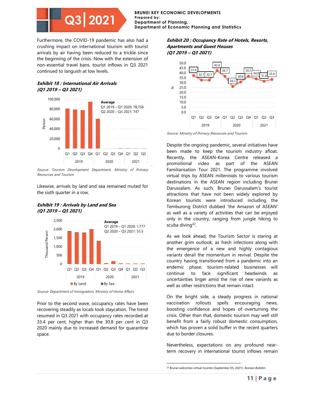

Furthermore, the COVID-19 pandemic has also had a crushing impact on international tourism with tourist arrivals by air having been reduced to a trickle since the beginning of the crisis. Now with the extension of non-essential travel bans, tourist inflows in Q3 2021 continued to languish at low levels.

#### **Exhibit 18 : International Air Arrivals (Q1 2019 – Q3 2021)**



Source: Tourism Development Department, Ministry of Primary Resources and Tourism

Likewise, arrivals by land and sea remained muted for the sixth quarter in a row.

#### **Exhibit 19 : Arrivals by Land and Sea (Q1 2019 – Q3 2021)**



Source: Department of Immigration, Ministry of Home Affairs

Prior to the second wave, occupancy rates have been recovering steadily as locals took staycation. The trend resumed in Q3 2021 with occupancy rates recorded at 33.4 per cent, higher than the 30.8 per cent in Q3 2020 mainly due to increased demand for quarantine space.

#### **Exhibit 20 : Occupancy Rate of Hotels, Resorts, Apartments and Guest Houses (Q1 2019 – Q3 2021)**



Source: Ministry of Primary Resources and Tourism

Despite the ongoing pandemic, several initiatives have been made to keep the tourism industry afloat. Recently, the ASEAN-Korea Centre released a promotional video as part of the ASEAN Familiarisation Tour 2021. The programme involved virtual trips by ASEAN millennials to various tourism destinations in the ASEAN region including Brunei Darussalam. As such, Brunei Darussalam's tourist attractions that have not been widely explored by Korean tourists were introduced including the Temburong District dubbed 'the Amazon of ASEAN' as well as a variety of activities that can be enjoyed only in the country, ranging from jungle hiking to scuba diving<sup>22</sup>.

As we look ahead, the Tourism Sector is staring at another grim outlook, as fresh infections along with the emergence of a new and highly contagious variants derail the momentum in revival. Despite the country having transitioned from a pandemic into an endemic phase, tourism-related businesses will continue to face significant headwinds as uncertainties linger amid the rise of new variants as well as other restrictions that remain intact.

On the bright side, a steady progress in national vaccination rollouts spells encouraging news, boosting confidence and hopes of overturning the crisis. Other than that, domestic tourism may well still benefit from a fairly robust domestic consumption, which has proven a solid buffer in the recent quarters due to border closures.

Nevertheless, expectations on any profound nearterm recovery in international tourist inflows remain

<sup>&</sup>lt;sup>22</sup> Brunei welcomes virtual tourists (September 05, 2021). Borneo Bulletin.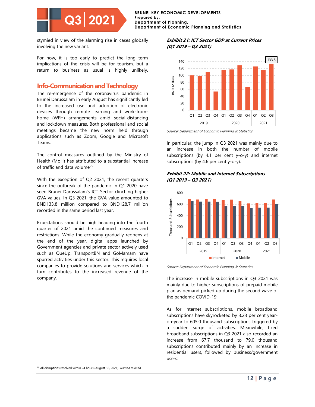#### **BRUNEI KEY ECONOMIC DEVELOPMENTS Prepared by: Department of Planning, Department of Economic Planning and Statistics**

stymied in view of the alarming rise in cases globally involving the new variant.

For now, it is too early to predict the long term implications of the crisis will be for tourism, but a return to business as usual is highly unlikely.

#### **Info-Communication and Technology**

The re-emergence of the coronavirus pandemic in Brunei Darussalam in early August has significantly led to the increased use and adoption of electronic devices through remote learning and work-fromhome (WFH) arrangements amid social-distancing and lockdown measures. Both professional and social meetings became the new norm held through applications such as Zoom, Google and Microsoft Teams.

The control measures outlined by the Ministry of Health (MoH) has attributed to a substantial increase of traffic and data volume<sup>25</sup>

With the exception of Q2 2021, the recent quarters since the outbreak of the pandemic in Q1 2020 have seen Brunei Darussalam's ICT Sector clinching higher GVA values. In Q3 2021, the GVA value amounted to BND133.8 million compared to BND128.7 million recorded in the same period last year.

Expectations should be high heading into the fourth quarter of 2021 amid the continued measures and restrictions. While the economy gradually reopens at the end of the year, digital apps launched by Government agencies and private sector actively used such as QueUp, TransportBN and GoMamam have spurred activities under this sector. This requires local companies to provide solutions and services which in turn contributes to the increased revenue of the company.

#### **Exhibit 21: ICT Sector GDP at Current Prices (Q1 2019 – Q3 2021)**



Source: Department of Economic Planning & Statistics

In particular, the jump in Q3 2021 was mainly due to an increase in both the number of mobile subscriptions (by 4.1 per cent y-o-y) and internet subscriptions (by 4.6 per cent y-o-y).

#### **Exhibit 22: Mobile and Internet Subscriptions (Q1 2019 – Q3 2021)**



Source: Department of Economic Planning & Statistics

The increase in mobile subscriptions in Q3 2021 was mainly due to higher subscriptions of prepaid mobile plan as demand picked up during the second wave of the pandemic COVID-19.

As for internet subscriptions, mobile broadband subscriptions have skyrocketed by 3.23 per cent yearon-year to 605.0 thousand subscriptions triggered by a sudden surge of activities. Meanwhile, fixed broadband subscriptions in Q3 2021 also recorded an increase from 67.7 thousand to 79.0 thousand subscriptions contributed mainly by an increase in residential users, followed by business/government users:

<sup>&</sup>lt;sup>25</sup> All disruptions resolved within 24 hours (August 18, 2021). Borneo Bulletin.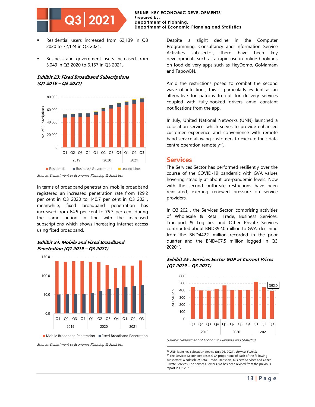

- Residential users increased from 62,139 in Q3 2020 to 72,124 in Q3 2021.
- Business and government users increased from 5,049 in Q3 2020 to 6,157 in Q3 2021.

#### **Exhibit 23: Fixed Broadband Subscriptions (Q1 2019 – Q3 2021)**



Source: Department of Economic Planning & Statistics

In terms of broadband penetration, mobile broadband registered an increased penetration rate from 129.2 per cent in Q3 2020 to 140.7 per cent in Q3 2021, meanwhile, fixed broadband penetration has increased from 64.5 per cent to 75.3 per cent during the same period in line with the increased subscriptions which shows increasing internet access using fixed broadband.

#### **Exhibit 24: Mobile and Fixed Broadband Penetration (Q1 2019 – Q3 2021)**



 $\blacksquare$  Mobile Broadband Penetration  $\blacksquare$  Fixed Broadband Penetration

Source: Department of Economic Planning & Statistics

Despite a slight decline in the Computer Programming, Consultancy and Information Service Activities sub-sector, there have been key developments such as a rapid rise in online bookings on food delivery apps such as HeyDomo, GoMamam and TapowBN.

Amid the restrictions posed to combat the second wave of infections, this is particularly evident as an alternative for patrons to opt for delivery services coupled with fully-booked drivers amid constant notifications from the app.

In July, United National Networks (UNN) launched a colocation service, which serves to provide enhanced customer experience and convenience with remote hand service allowing customers to execute their data centre operation remotely<sup>26</sup>.

#### **Services**

The Services Sector has performed resiliently over the course of the COVID-19 pandemic with GVA values hovering steadily at about pre-pandemic levels. Now with the second outbreak, restrictions have been reinstated, exerting renewed pressure on service providers.

In Q3 2021, the Services Sector, comprising activities of Wholesale & Retail Trade, Business Services, Transport & Logistics and Other Private Services contributed about BND392.0 million to GVA, declining from the BND442.2 million recorded in the prior quarter and the BND407.5 million logged in Q3 2020<sup>27</sup> .

#### **Exhibit 25 : Services Sector GDP at Current Prices (Q1 2019 – Q3 2021)**



Source: Department of Economic Planning and Statistics

<sup>&</sup>lt;sup>26</sup> UNN launches colocation service (July 01, 2021). Borneo Bulletin. <sup>27</sup> The Services Sector comprises GVA proportions of each of the following subsectors: Wholesale & Retail Trade, Transport, Business Services and Other Private Services. The Services Sector GVA has been revised from the previous report in Q2 2021.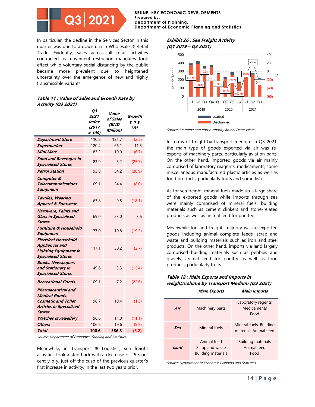**BRUNEI KEY ECONOMIC DEVELOPMENTS Prepared by: Department of Planning, Department of Economic Planning and Statistics**

In particular, the decline in the Services Sector in this quarter was due to a downturn in Wholesale & Retail Trade. Evidently, sales across all retail activities contracted as movement restriction mandates took effect while voluntary social distancing by the public became more prevalent due to heightened uncertainty over the emergence of new and highly transmissible variants.

| Table 11 : Value of Sales and Growth Rate by |  |
|----------------------------------------------|--|
| <b>Activity (Q3 2021)</b>                    |  |

|                                                                                                                                     | Q3<br>2021<br>Index<br>(2017)<br>$= 100$ | Value<br>of Sales<br>(BND<br>Million) | Growth<br>$y - 0 - y$<br>(%) |
|-------------------------------------------------------------------------------------------------------------------------------------|------------------------------------------|---------------------------------------|------------------------------|
| <b>Department Store</b>                                                                                                             | 110.8                                    | 121.7                                 | (2.5)                        |
| <b>Supermarket</b>                                                                                                                  | 120.4                                    | 66.1                                  | 11.5                         |
| <b>Mini Mart</b>                                                                                                                    | 83.2                                     | 10.0                                  | (6.7)                        |
| <b>Food and Beverages in</b><br><b>Specialised Stores</b>                                                                           | 83.9                                     | 5.2                                   | (25.7)                       |
| <b>Petrol Station</b>                                                                                                               | 93.8                                     | 34.2                                  | (20.9)                       |
| <b>Computer &amp;</b><br>Telecommunications<br><b>Equipment</b>                                                                     | 109.1                                    | 24.4                                  | (8.0)                        |
| <b>Textiles, Wearing</b><br><b>Apparel &amp; Footwear</b>                                                                           | 63.8                                     | 9.8                                   | (18.1)                       |
| <b>Hardware, Paints and</b><br><b>Glass in Specialised</b><br><b>Stores</b>                                                         | 69.0                                     | 23.0                                  | 3.6                          |
| <b>Furniture &amp; Household</b><br><b>Equipment</b>                                                                                | 77.0                                     | 10.8                                  | (19.5)                       |
| <b>Electrical Household</b><br><b>Appliances and</b><br><b>Lighting Equipment in</b><br><b>Specialised Stores</b>                   | 117.1                                    | 30.2                                  | (2.7)                        |
| <b>Books, Newspapers</b><br>and Stationery in<br><b>Specialised Stores</b>                                                          | 49.6                                     | 3.3                                   | (12.4)                       |
| <b>Recreational Goods</b>                                                                                                           | 109.1                                    | 7.2                                   | (22.6)                       |
| <b>Pharmaceutical and</b><br><b>Medical Goods.</b><br><b>Cosmetic and Toilet</b><br><b>Articles in Specialized</b><br><b>Stores</b> | 96.7                                     | 10.4                                  | (1.3)                        |
| <b>Watches &amp; Jewellery</b>                                                                                                      | 96.6                                     | 11.0                                  | (11.1)                       |
| <b>Others</b>                                                                                                                       | 106.6                                    | 19.6                                  | (9.9)                        |
| <b>Total</b>                                                                                                                        | 100.6                                    | 386.8                                 | (5.2)                        |

Source: Department of Economic Planning and Statistics

Meanwhile, in Transport & Logistics, sea freight activities took a step back with a decrease of 25.3 per cent y-o-y, just off the cusp of the previous quarter's first increase in activity, in the last two years prior.

#### **Exhibit 26 : Sea Freight Activity (Q1 2019 – Q3 2021)**



Source: Maritime and Port Authority Brunei Darussalam

In terms of freight by transport medium in Q3 2021, the main type of goods exported via air was reexports of machinery parts, particularly aviation parts. On the other hand, imported goods via air mainly comprised of laboratory reagents, medicaments, some miscellaneous manufactured plastic articles as well as food products, particularly fruits and some fish.

As for sea freight, mineral fuels made up a large share of the exported goods while imports through sea were mainly comprised of mineral fuels, building materials such as cement clinkers and stone-related products as well as animal feed for poultry.

Meanwhile for land freight, majority was re-exported goods including animal complete feeds, scrap and waste and building materials such as iron and steel products. On the other hand, imports via land largely comprised building materials such as pebbles and gravels; animal feed for poultry as well as food products, particularly fruits.

#### **Table 12 : Main Exports and Imports in weight/volume by Transport Medium (Q3 2021)**

|      | <i><b>Main Exports</b></i>                                  | <b>Main Imports</b>                              |
|------|-------------------------------------------------------------|--------------------------------------------------|
| Air  | Machinery parts                                             | Laboratory regents<br>Medicaments<br>Food        |
| Sea  | Mineral fuels                                               | Mineral fuels, Building<br>materials Animal feed |
| Land | Animal feed<br>Scrap and waste<br><b>Building materials</b> | <b>Building materials</b><br>Animal feed<br>Food |

Source: Department of Economic Planning and Statistics